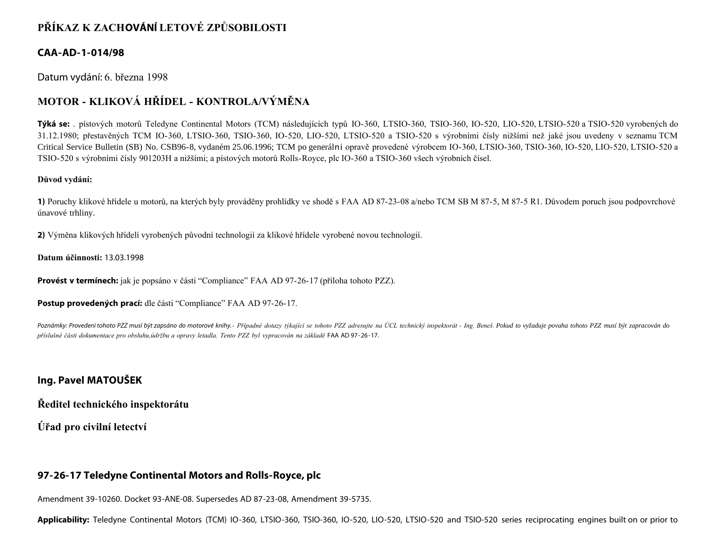# **PŘÍKAZ K ZACHOVÁNÍ LETOVÉ ZPŮSOBILOSTI**

### **CAA-AD-1-014/98**

Datum vydání: 6. března 1998

## **MOTOR - KLIKOVÁ HŘÍDEL - KONTROLA/VÝMĚNA**

**Týká se:** . pístových motorů Teledyne Continental Motors (TCM) následujících typů IO-360, LTSIO-360, TSIO-360, IO-520, LIO-520, LTSIO-520 a TSIO-520 vyrobených do 31.12.1980; přestavěných TCM IO-360, LTSIO-360, TSIO-360, IO-520, LIO-520, LTSIO-520 a TSIO-520 s výrobními čísly nižšími než jaké jsou uvedeny v seznamu TCM Critical Service Bulletin (SB) No. CSB96-8, vydaném 25.06.1996; TCM po generální opravě provedené výrobcem IO-360, LTSIO-360, TSIO-360, IO-520, LIO-520, LTSIO-520 a TSIO-520 s výrobními čísly 901203H a nižšími; a pístových motorů Rolls-Royce, plc IO-360 a TSIO-360 všech výrobních čísel.

#### **Důvod vydání:**

**1)** Poruchy klikové hřídele u motorů, na kterých byly prováděny prohlídky ve shodě s FAA AD 87-23-08 a/nebo TCM SB M 87-5, M 87-5 R1. Důvodem poruch jsou podpovrchové únavové trhliny.

**2)** Výměna klikových hřídelí vyrobených původní technologií za klikové hřídele vyrobené novou technologií.

**Datum účinnosti:** 13.03.1998

**Provést v termínech:** jak je popsáno v části "Compliance" FAA AD 97-26-17 (příloha tohoto PZZ).

**Postup provedených prací:** dle části "Compliance" FAA AD 97-26-17.

Poznámky: Provedení tohoto PZZ musí být zapsáno do motorové knihy. - Případné dotazy týkající se tohoto PZZ adresujte na ÚCL technický inspektorát - Ing. Beneš. Pokud to vyžaduje povaha tohoto PZZ musí být zapracován do *příslušné části dokumentace pro obsluhu,údržbu a opravy letadla. Tento PZZ byl vypracován na základě* FAA AD 97-26-17.

## **Ing. Pavel MATOUŠEK**

**Ředitel technického inspektorátu**

**Úřad pro civilní letectví**

## **97-26-17 Teledyne Continental Motors and Rolls-Royce, plc**

Amendment 39-10260. Docket 93-ANE-08. Supersedes AD 87-23-08, Amendment 39-5735.

**Applicability:** Teledyne Continental Motors (TCM) IO-360, LTSIO-360, TSIO-360, IO-520, LIO-520, LTSIO-520 and TSIO-520 series reciprocating engines built on or prior to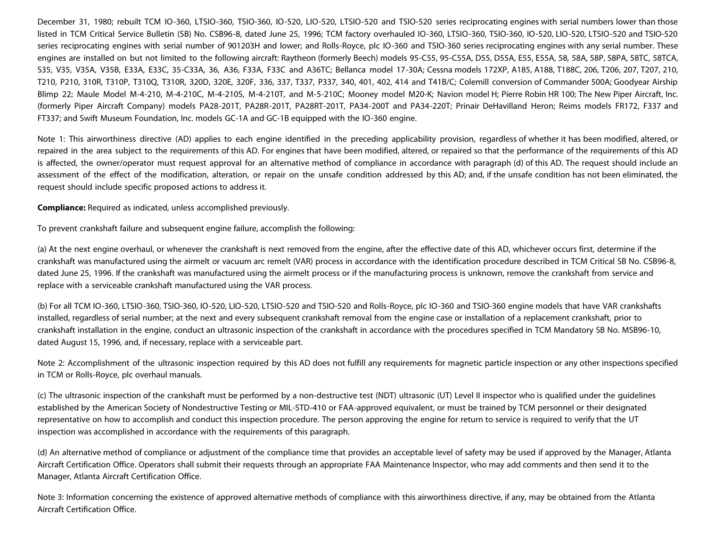December 31, 1980; rebuilt TCM IO-360, LTSIO-360, TSIO-360, IO-520, LIO-520, LTSIO-520 and TSIO-520 series reciprocating engines with serial numbers lower than those listed in TCM Critical Service Bulletin (SB) No. CSB96-8, dated June 25, 1996; TCM factory overhauled IO-360, LTSIO-360, TSIO-360, IO-520, LIO-520, LTSIO-520 and TSIO-520 series reciprocating engines with serial number of 901203H and lower; and Rolls-Royce, plc IO-360 and TSIO-360 series reciprocating engines with any serial number. These engines are installed on but not limited to the following aircraft: Raytheon (formerly Beech) models 95-C55, 95-C55A, D55, D55A, E55, E55A, 58, 58A, 58P, 58PA, 58TC, 58TCA, S35, V35, V35A, V35B, E33A, E33C, 35-C33A, 36, A36, F33A, F33C and A36TC; Bellanca model 17-30A; Cessna models 172XP, A185, A188, T188C, 206, T206, 207, T207, 210, T210, P210, 310R, T310P, T310Q, T310R, 320D, 320E, 320F, 336, 337, T337, P337, 340, 401, 402, 414 and T41B/C; Colemill conversion of Commander 500A; Goodyear Airship Blimp 22; Maule Model M-4-210, M-4-210C, M-4-210S, M-4-210T, and M-5-210C; Mooney model M20-K; Navion model H; Pierre Robin HR 100; The New Piper Aircraft, Inc. (formerly Piper Aircraft Company) models PA28-201T, PA28R-201T, PA28RT-201T, PA34-200T and PA34-220T; Prinair DeHavilland Heron; Reims models FR172, F337 and FT337; and Swift Museum Foundation, Inc. models GC-1A and GC-1B equipped with the IO-360 engine.

Note 1: This airworthiness directive (AD) applies to each engine identified in the preceding applicability provision, regardless of whether it has been modified, altered, or repaired in the area subject to the requirements of this AD. For engines that have been modified, altered, or repaired so that the performance of the requirements of this AD is affected, the owner/operator must request approval for an alternative method of compliance in accordance with paragraph (d) of this AD. The request should include an assessment of the effect of the modification, alteration, or repair on the unsafe condition addressed by this AD; and, if the unsafe condition has not been eliminated, the request should include specific proposed actions to address it.

**Compliance:** Required as indicated, unless accomplished previously.

To prevent crankshaft failure and subsequent engine failure, accomplish the following:

(a) At the next engine overhaul, or whenever the crankshaft is next removed from the engine, after the effective date of this AD, whichever occurs first, determine if the crankshaft was manufactured using the airmelt or vacuum arc remelt (VAR) process in accordance with the identification procedure described in TCM Critical SB No. CSB96-8, dated June 25, 1996. If the crankshaft was manufactured using the airmelt process or if the manufacturing process is unknown, remove the crankshaft from service and replace with a serviceable crankshaft manufactured using the VAR process.

(b) For all TCM IO-360, LTSIO-360, TSIO-360, IO-520, LIO-520, LTSIO-520 and TSIO-520 and Rolls-Royce, plc IO-360 and TSIO-360 engine models that have VAR crankshafts installed, regardless of serial number; at the next and every subsequent crankshaft removal from the engine case or installation of a replacement crankshaft, prior to crankshaft installation in the engine, conduct an ultrasonic inspection of the crankshaft in accordance with the procedures specified in TCM Mandatory SB No. MSB96-10, dated August 15, 1996, and, if necessary, replace with a serviceable part.

Note 2: Accomplishment of the ultrasonic inspection required by this AD does not fulfill any requirements for magnetic particle inspection or any other inspections specified in TCM or Rolls-Royce, plc overhaul manuals.

(c) The ultrasonic inspection of the crankshaft must be performed by a non-destructive test (NDT) ultrasonic (UT) Level II inspector who is qualified under the guidelines established by the American Society of Nondestructive Testing or MIL-STD-410 or FAA-approved equivalent, or must be trained by TCM personnel or their designated representative on how to accomplish and conduct this inspection procedure. The person approving the engine for return to service is required to verify that the UT inspection was accomplished in accordance with the requirements of this paragraph.

(d) An alternative method of compliance or adjustment of the compliance time that provides an acceptable level of safety may be used if approved by the Manager, Atlanta Aircraft Certification Office. Operators shall submit their requests through an appropriate FAA Maintenance Inspector, who may add comments and then send it to the Manager, Atlanta Aircraft Certification Office.

Note 3: Information concerning the existence of approved alternative methods of compliance with this airworthiness directive, if any, may be obtained from the Atlanta Aircraft Certification Office.